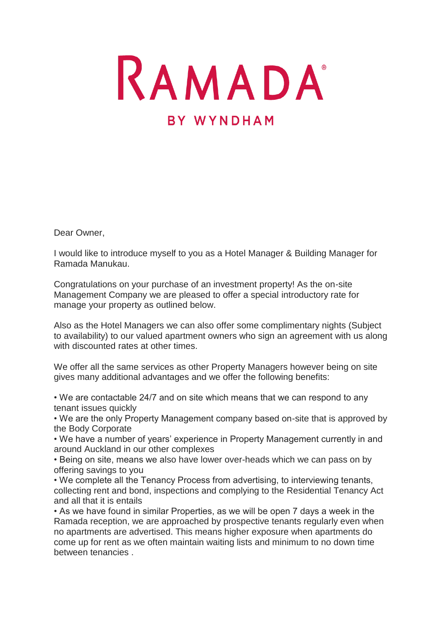RAMADA **BY WYNDHAM** 

Dear Owner,

I would like to introduce myself to you as a Hotel Manager & Building Manager for Ramada Manukau.

Congratulations on your purchase of an investment property! As the on-site Management Company we are pleased to offer a special introductory rate for manage your property as outlined below.

Also as the Hotel Managers we can also offer some complimentary nights (Subject to availability) to our valued apartment owners who sign an agreement with us along with discounted rates at other times.

We offer all the same services as other Property Managers however being on site gives many additional advantages and we offer the following benefits:

• We are contactable 24/7 and on site which means that we can respond to any tenant issues quickly

• We are the only Property Management company based on-site that is approved by the Body Corporate

• We have a number of years' experience in Property Management currently in and around Auckland in our other complexes

• Being on site, means we also have lower over-heads which we can pass on by offering savings to you

• We complete all the Tenancy Process from advertising, to interviewing tenants, collecting rent and bond, inspections and complying to the Residential Tenancy Act and all that it is entails

• As we have found in similar Properties, as we will be open 7 days a week in the Ramada reception, we are approached by prospective tenants regularly even when no apartments are advertised. This means higher exposure when apartments do come up for rent as we often maintain waiting lists and minimum to no down time between tenancies .